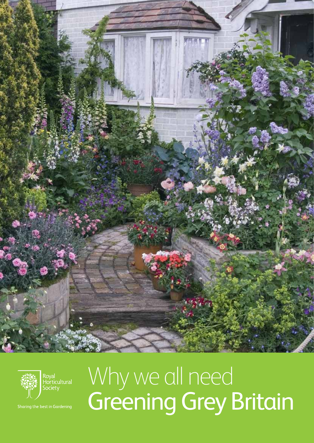



Sharing the best in Gardening

### Why we all need Greening Grey Britain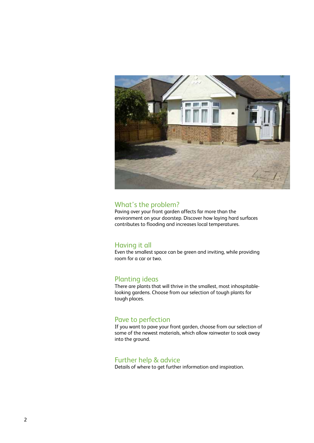

#### What's the problem?

Paving over your front garden affects far more than the environment on your doorstep. Discover how laying hard surfaces contributes to flooding and increases local temperatures.

#### Having it all

Even the smallest space can be green and inviting, while providing room for a car or two.

#### Planting ideas

There are plants that will thrive in the smallest, most inhospitablelooking gardens. Choose from our selection of tough plants for tough places.

#### Pave to perfection

If you want to pave your front garden, choose from our selection of some of the newest materials, which allow rainwater to soak away into the ground.

#### Further help & advice

Details of where to get further information and inspiration.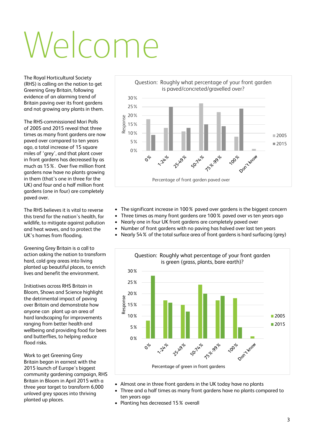# Welcome

The Royal Horticultural Society (RHS) is calling on the nation to get Greening Grey Britain, following evidence of an alarming trend of Britain paving over its front gardens and not growing any plants in them.

The RHS-commissioned Mori Polls of 2005 and 2015 reveal that three times as many front gardens are now paved over compared to ten years ago, a total increase of 15 square miles of 'grey', and that plant cover in front gardens has decreased by as much as 15%. Over five million front gardens now have no plants growing in them (that's one in three for the UK) and four and a half million front gardens (one in four) are completely paved over.

The RHS believes it is vital to reverse this trend for the nation's health, for wildlife, to mitigate against pollution and heat waves, and to protect the UK's homes from flooding.

Greening Grey Britain is a call to action asking the nation to transform hard, cold grey areas into living planted up beautiful places, to enrich lives and benefit the environment.

Initiatives across RHS Britain in Bloom, Shows and Science highlight the detrimental impact of paving over Britain and demonstrate how anyone can plant up an area of hard landscaping for improvements ranging from better health and wellbeing and providing food for bees and butterflies, to helping reduce flood risks.

Work to get Greening Grey Britain began in earnest with the 2015 launch of Europe's biggest community gardening campaign, RHS Britain in Bloom in April 2015 with a three year target to transform 6,000 unloved grey spaces into thriving planted up places.



- The significant increase in 100% paved over gardens is the biggest concern
- Three times as many front gardens are 100% paved over vs ten years ago
- Nearly one in four UK front gardens are completely paved over
- Number of front gardens with no paving has halved over last ten years
- Nearly 54% of the total surface area of front gardens is hard surfacing (grey)



- Almost one in three front gardens in the UK today have no plants
- Three and a half times as many front gardens have no plants compared to ten years ago
- • Planting has decreased 15% overall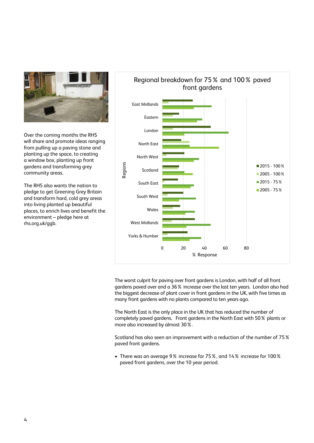

Over the coming months the RHS will share and promote ideas ranging from pulling up a paving stone and planting up the space, to creating a window box, planting up front gardens and transforming grey community areas.

The RHS also wants the nation to pledge to get Greening Grey Britain and transform hard, cold grey areas into living planted up beautiful places, to enrich lives and benefit the environment – pledge here at rhs.org.uk/ggb.



The worst culprit for paving over front gardens is London, with half of all front gardens paved over and a 36% increase over the last ten years. London also had the biggest decrease of plant cover in front gardens in the UK, with five times as many front gardens with no plants compared to ten years ago.

The North East is the only place in the UK that has reduced the number of completely paved gardens. Front gardens in the North East with 50% plants or more also increased by almost 30%.

Scotland has also seen an improvement with a reduction of the number of 75% paved front gardens.

• There was an average 9% increase for 75%, and 14% increase for 100% paved front gardens, over the 10 year period.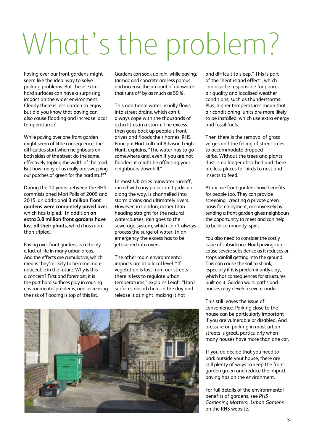## What's the problem?

Paving over our front gardens might seem like the ideal way to solve parking problems. But these extra hard surfaces can have a surprising impact on the wider environment. Clearly there is less garden to enjoy, but did you know that paving can also cause flooding and increase local temperatures?

While paving over one front garden might seem of little consequence, the difficulties start when neighbours on both sides of the street do the same, effectively tripling the width of the road. But how many of us really are swapping our patches of green for the hard stuff?

During the 10 years between the RHScommisisioned Mori Polls of 2005 and 2015, an additional **3 million front gardens were completely paved over**, which has tripled. In addition **an extra 3.8 million front gardens have lost all their plants**, which has more than tripled.

Paving over front gardens is certainly a fact of life in many urban areas. And the effects are cumulative, which means they're likely to become more noticeable in the future. Why is this a concern? First and foremost, it is the part hard surfaces play in causing environmental problems, and increasing the risk of flooding is top of this list.

Gardens can soak up rain, while paving, tarmac and concrete are less porous and increase the amount of rainwater that runs off by as much as 50%.

This additional water usually flows into street drains, which can't always cope with the thousands of extra litres in a storm. The excess then goes back up people's front drives and floods their homes. RHS Principal Horticultural Advisor, Leigh Hunt, explains, "The water has to go somewhere and, even if you are not flooded, it might be affecting your neighbours downhill."

In most UK cities rainwater run-off, mixed with any pollution it picks up along the way, is channelled into storm drains and ultimately rivers. However, in London, rather than heading straight for the natural watercourses, rain goes to the sewerage system, which can't always process the surge of water. In an emergency the excess has to be jettisoned into rivers.

The other main environmental impacts are at a local level. "If vegetation is lost from our streets there is less to regulate urban temperatures," explains Leigh. "Hard surfaces absorb heat in the day and release it at night, making it hot

and difficult to sleep." This is part of the 'heat island effect', which can also be responsible for poorer air quality and localised weather conditions, such as thunderstorms. Plus, higher temperatures mean that air conditioning units are more likely to be installed, which use extra energy and fossil fuels.

Then there is the removal of grass verges and the felling of street trees to accommodate dropped kerbs. Without the trees and plants, dust is no longer absorbed and there are less places for birds to nest and insects to feed.

Attractive front gardens have benefits for people too. They can provide screening, creating a private green oasis for enjoyment, or conversely by tending a front garden gives neighbours the opportunity to meet and can help to build community spirit.

You also need to consider the costly issue of subsidence. Hard paving can cause severe subsidence as it reduces or stops rainfall getting into the ground. This can cause the soil to shrink, especially if it is predominantly clay, which has consequences for structures built on it. Garden walls, paths and houses may develop severe cracks.

This still leaves the issue of convenience. Parking close to the house can be particularly important if you are vulnerable or disabled. And pressure on parking in most urban streets is great, particularly when many houses have more than one car.

If you do decide that you need to park outside your house, there are still plenty of ways to keep the front garden green and reduce the impact paving has on the environment.

For full details of the environmental benefits of gardens, see *RHS Gardening Matters: Urban Gardens* on the RHS website.

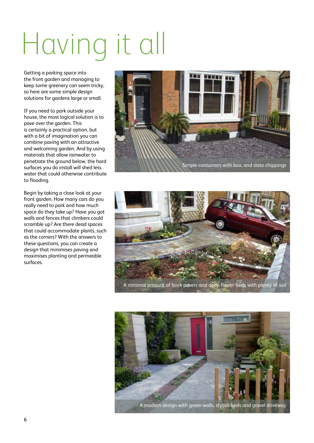## Having it all

Getting a parking space into the front garden and managing to keep some greenery can seem tricky, so here are some simple design solutions for gardens large or small.

If you need to park outside your house, the most logical solution is to pave over the garden. This is certainly a practical option, but with a bit of imagination you can combine paving with an attractive and welcoming garden. And by using materials that allow rainwater to penetrate the ground below, the hard surfaces you do install will shed less water that could otherwise contribute to flooding.

Begin by taking a close look at your front garden. How many cars do you really need to park and how much space do they take up? Have you got walls and fences that climbers could scramble up? Are there dead spaces that could accommodate plants, such as the corners? With the answers to these questions, you can create a design that minimises paving and maximises planting and permeable surfaces.





A minimal amount of brick pavers and deep flower beds with plenty of soil



A modern design with green walls, stylish beds and gravel driveway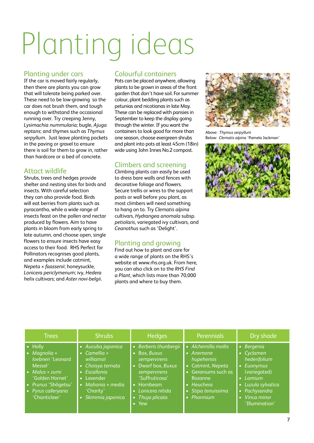# Planting ideas

#### Planting under cars

If the car is moved fairly regularly, then there are plants you can grow that will tolerate being parked over. These need to be low-growing so the car does not brush them, and tough enough to withstand the occasional running over. Try creeping Jenny, *Lysimachia nummularia*; bugle, *Ajuga reptans*; and thymes such as *Thymus serpyllum*. Just leave planting pockets in the paving or gravel to ensure there is soil for them to grow in, rather than hardcore or a bed of concrete.

#### Attact wildlife

Shrubs, trees and hedges provide shelter and nesting sites for birds and insects. With careful selection they can also provide food. Birds will eat berries from plants such as pyracantha, while a wide range of insects feast on the pollen and nectar produced by flowers. Aim to have plants in bloom from early spring to late autumn, and choose open, single flowers to ensure insects have easy access to their food. RHS Perfect for Pollinators recognises good plants, and examples include catmint, *Nepeta* × *faassenii*; honeysuckle, *Lonicera periclymenum*; ivy, *Hedera helix* cultivars; and *Aster novi*-*belgii*.

#### Colourful containers

Pots can be placed anywhere, allowing plants to be grown in areas of the front garden that don't have soil. For summer colour, plant bedding plants such as petunias and nicotianas in late May. These can be replaced with pansies in September to keep the display going through the winter. If you want the containers to look good for more than one season, choose evergreen shrubs and plant into pots at least 45cm (18in) wide using John Innes No.2 compost.

#### Climbers and screening

Climbing plants can easily be used to dress bare walls and fences with decorative foliage and flowers. Secure trellis or wires to the support posts or wall before you plant, as most climbers will need something to hang on to. Try *Clematis alpina* cultivars, *Hydrangea anomala* subsp. *petiolaris*, variegated ivy cultivars, and *Ceanothus* such as 'Delight'.

#### Planting and growing

Find out how to plant and care for a wide range of plants on the RHS's website at www.rhs.org.uk. From here, you can also click on to the *RHS Find a Plant*, which lists more than 70,000 plants and where to buy them.



Above: *Thymus serpyllum* Below: *Clematis alpina* 'Pamela Jackman'



| <b>Trees</b>                                                                                                                                                                                     | <b>Shrubs</b>                                                                                                                                                                            | <b>Hedges</b>                                                                                                                                                                | <b>Perennials</b>                                                                                                                                               | Dry shade                                                                                                                                                          |
|--------------------------------------------------------------------------------------------------------------------------------------------------------------------------------------------------|------------------------------------------------------------------------------------------------------------------------------------------------------------------------------------------|------------------------------------------------------------------------------------------------------------------------------------------------------------------------------|-----------------------------------------------------------------------------------------------------------------------------------------------------------------|--------------------------------------------------------------------------------------------------------------------------------------------------------------------|
| $\bullet$ Holly<br>$\bullet$ Magnolia $\times$<br>loebneri 'Leonard<br>Messel'<br>$\bullet$ Malus $\times$ zumi<br>'Golden Hornet'<br>· Prunus 'Shôgetsu'<br>• Pyrus calleryana<br>'Chanticleer' | • Aucuba japonica<br>$\bullet$ Camellia $\times$<br>williamsii<br>• Choisya ternata<br>• Escallonia<br>• Lavender<br>$\bullet$ Mahonia $\times$ media<br>'Charity'<br>· Skimmia japonica | • Berberis thunbergii<br>• Box, Buxus<br>sempervirens<br>• Dwarf box, Buxus<br>sempervirens<br>'Suffruticosa'<br>• Hornbeam<br>• Lonicera nitida<br>• Thuja plicata<br>• Yew | • Alchemilla mollis<br>• Anemone<br>hupehensis<br>• Catmint, Nepeta<br>• Geraniums such as<br>Rozanne<br>$\bullet$ Heuchera<br>• Stipa tenuissima<br>• Phormium | • Bergenia<br>• Cyclamen<br>hederifolium<br>• Euonymus<br>(variegated)<br>$\bullet$ Lamium<br>• Luzula sylvatica<br>Pachysandra<br>• Vinca minor<br>'Illumination' |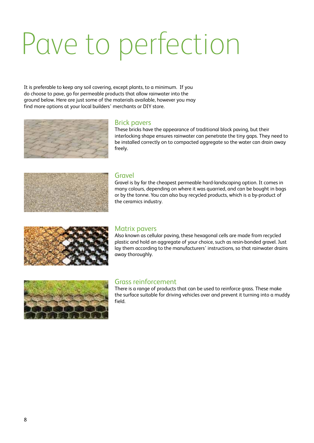### Pave to perfection

It is preferable to keep any soil covering, except plants, to a minimum. If you do choose to pave, go for permeable products that allow rainwater into the ground below. Here are just some of the materials available, however you may find more options at your local builders' merchants or DIY store.



#### Brick pavers

These bricks have the appearance of traditional block paving, but their interlocking shape ensures rainwater can penetrate the tiny gaps. They need to be installed correctly on to compacted aggregate so the water can drain away freely.



#### **Gravel**

Gravel is by far the cheapest permeable hard-landscaping option. It comes in many colours, depending on where it was quarried, and can be bought in bags or by the tonne. You can also buy recycled products, which is a by-product of the ceramics industry.



#### Matrix pavers

Also known as cellular paving, these hexagonal cells are made from recycled plastic and hold an aggregate of your choice, such as resin-bonded gravel. Just lay them according to the manufacturers' instructions, so that rainwater drains away thoroughly.



#### Grass reinforcement

There is a range of products that can be used to reinforce grass. These make the surface suitable for driving vehicles over and prevent it turning into a muddy field.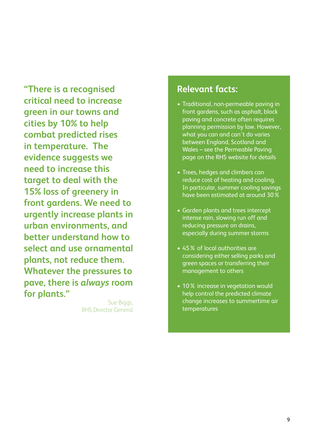**"There is a recognised critical need to increase green in our towns and cities by 10% to help combat predicted rises in temperature. The evidence suggests we need to increase this target to deal with the 15% loss of greenery in front gardens. We need to urgently increase plants in urban environments, and better understand how to select and use ornamental plants, not reduce them. Whatever the pressures to pave, there is** *always* **room for plants."**

> Sue Biggs, RHS Director General

#### **Relevant facts:**

- • Traditional, non-permeable paving in front gardens, such as asphalt, block paving and concrete often requires planning permission by law. However, what you can and can't do varies between England, Scotland and Wales – see the Permeable Paving page on the RHS website for details
- Trees, hedges and climbers can reduce cost of heating and cooling. In particular, summer cooling savings have been estimated at around 30%
- Garden plants and trees intercept intense rain, slowing run off and reducing pressure on drains, especially during summer storms
- 45% of local authorities are considering either selling parks and green spaces or transferring their management to others
- 10% increase in vegetation would help control the predicted climate change increases to summertime air temperatures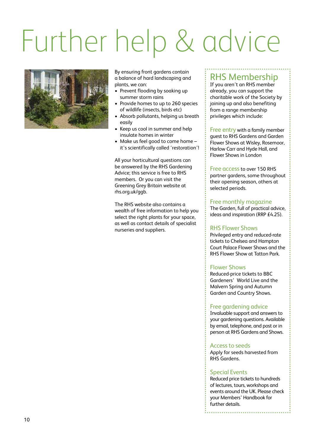## Further help & advice



By ensuring front gardens contain a balance of hard landscaping and plants, we can:

- Prevent flooding by soaking up summer storm rains
- Provide homes to up to 260 species of wildlife (insects, birds etc)
- • Absorb pollutants, helping us breath easily
- Keep us cool in summer and help insulate homes in winter
- Make us feel good to come home it's scientifically called 'restoration'!

All your horticultural questions can be answered by the RHS Gardening Advice; this service is free to RHS members. Or you can visit the Greening Grey Britain website at rhs.org.uk/ggb.

The RHS website also contains a wealth of free information to help you select the right plants for your space, as well as contact details of specialist nurseries and suppliers.

#### RHS Membership

If you aren't an RHS member already, you can support the charitable work of the Society by joining up and also benefiting from a range membership privileges which include:

Free entry with a family member guest to RHS Gardens and Garden Flower Shows at Wisley, Rosemoor, Harlow Carr and Hyde Hall, and Flower Shows in London

Free access to over 150 RHS partner gardens, some throughout their opening season, others at selected periods.

#### Free monthly magazine

The Garden, full of practical advice, ideas and inspiration (RRP £4.25).

#### RHS Flower Shows

Privileged entry and reduced-rate tickets to Chelsea and Hampton Court Palace Flower Shows and the RHS Flower Show at Tatton Park.

#### Flower Shows

Reduced-price tickets to BBC Gardeners' World Live and the Malvern Spring and Autumn Garden and Country Shows.

#### Free gardening advice

Invaluable support and answers to your gardening questions. Available by email, telephone, and post or in person at RHS Gardens and Shows.

#### Access to seeds

Apply for seeds harvested from RHS Gardens.

#### Special Events

Reduced price tickets to hundreds of lectures, tours, workshops and events around the UK. Please check your Members' Handbook for further details.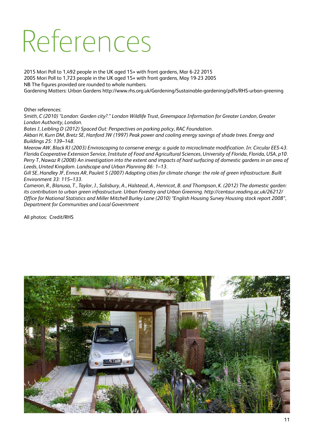### References

2015 Mori Poll to 1,492 people in the UK aged 15+ with front gardens, Mar 6-22 2015 2005 Mori Poll to 1,723 people in the UK aged 15+ with front gardens, May 19-23 2005 NB The figures provided are rounded to whole numbers. Gardening Matters: Urban Gardens http://www.rhs.org.uk/Gardening/Sustainable-gardening/pdfs/RHS-urban-greening

Other references:

*Smith, C (2010) "London: Garden city?." London Wildlife Trust, Greenspace Information for Greater London, Greater London Authority, London.*

*Bates J, Leibling D (2012) Spaced Out: Perspectives on parking policy, RAC Foundation.*

*Akbari H, Kurn DM, Bretz SE, Hanford JW (1997) Peak power and cooling energy savings of shade trees. Energy and Buildings 25: 139–148.*

*Meerow AW, Black RJ (2003) Enviroscaping to conserve energy: a guide to microclimate modification. In: Circular EES-43. Florida Cooperative Extension Service, Institute of Food and Agricultural Sciences, University of Florida, Florida, USA, p10. Perry T, Nawaz R (2008) An investigation into the extent and impacts of hard surfacing of domestic gardens in an area of Leeds, United Kingdom. Landscape and Urban Planning 86: 1–13.*

*Gill SE, Handley JF, Ennos AR, Pauleit S (2007) Adapting cities for climate change: the role of green infrastructure. Built Environment 33: 115–133.*

*Cameron, R., Blanusa, T., Taylor, J., Salisbury, A., Halstead, A., Henricot, B. and Thompson, K. (2012) The domestic garden: its contribution to urban green infrastructure. Urban Forestry and Urban Greening. http://centaur.reading.ac.uk/26212/ Office for National Statistics and Miller Mitchell Burley Lane (2010) "English Housing Survey Housing stock report 2008", Department for Communities and Local Government*

All photos: Credit/RHS